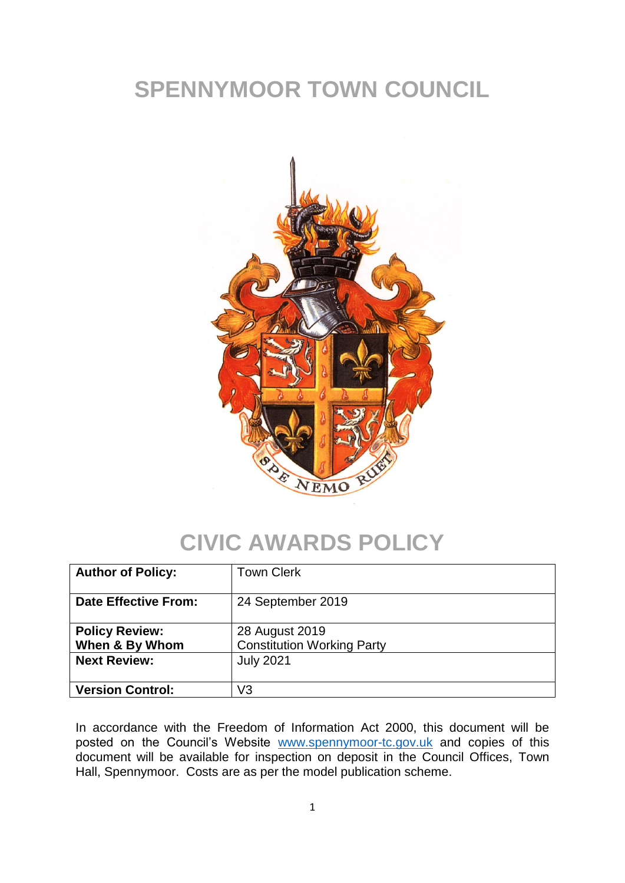## **SPENNYMOOR TOWN COUNCIL**



#### **CIVIC AWARDS POLICY**

| <b>Author of Policy:</b>                                       | <b>Town Clerk</b>                                                       |
|----------------------------------------------------------------|-------------------------------------------------------------------------|
| <b>Date Effective From:</b>                                    | 24 September 2019                                                       |
| <b>Policy Review:</b><br>When & By Whom<br><b>Next Review:</b> | 28 August 2019<br><b>Constitution Working Party</b><br><b>July 2021</b> |
| <b>Version Control:</b>                                        | V3                                                                      |

In accordance with the Freedom of Information Act 2000, this document will be posted on the Council's Website [www.spennymoor-tc.gov.uk](http://www.spennymoor-tc.gov.uk/) and copies of this document will be available for inspection on deposit in the Council Offices, Town Hall, Spennymoor. Costs are as per the model publication scheme.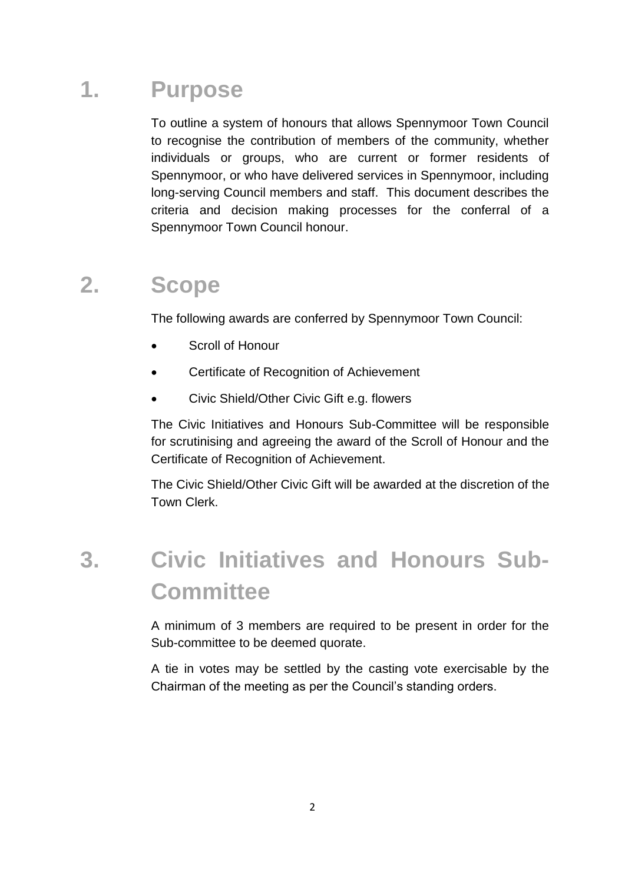#### **1. Purpose**

To outline a system of honours that allows Spennymoor Town Council to recognise the contribution of members of the community, whether individuals or groups, who are current or former residents of Spennymoor, or who have delivered services in Spennymoor, including long-serving Council members and staff. This document describes the criteria and decision making processes for the conferral of a Spennymoor Town Council honour.

#### **2. Scope**

The following awards are conferred by Spennymoor Town Council:

- Scroll of Honour
- Certificate of Recognition of Achievement
- Civic Shield/Other Civic Gift e.g. flowers

The Civic Initiatives and Honours Sub-Committee will be responsible for scrutinising and agreeing the award of the Scroll of Honour and the Certificate of Recognition of Achievement.

The Civic Shield/Other Civic Gift will be awarded at the discretion of the Town Clerk.

## **3. Civic Initiatives and Honours Sub-Committee**

A minimum of 3 members are required to be present in order for the Sub-committee to be deemed quorate.

A tie in votes may be settled by the casting vote exercisable by the Chairman of the meeting as per the Council's standing orders.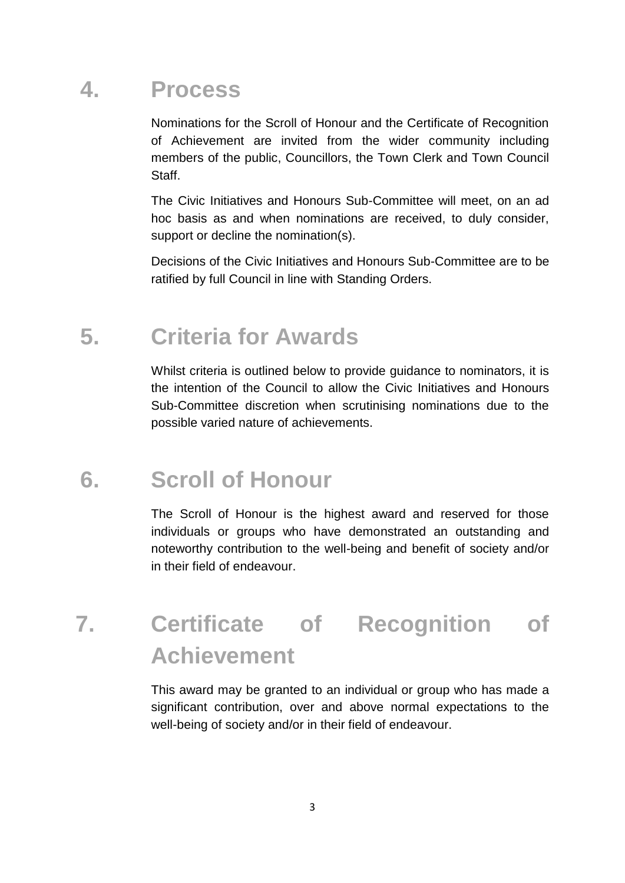#### **4. Process**

Nominations for the Scroll of Honour and the Certificate of Recognition of Achievement are invited from the wider community including members of the public, Councillors, the Town Clerk and Town Council Staff.

The Civic Initiatives and Honours Sub-Committee will meet, on an ad hoc basis as and when nominations are received, to duly consider, support or decline the nomination(s).

Decisions of the Civic Initiatives and Honours Sub-Committee are to be ratified by full Council in line with Standing Orders.

#### **5. Criteria for Awards**

Whilst criteria is outlined below to provide guidance to nominators, it is the intention of the Council to allow the Civic Initiatives and Honours Sub-Committee discretion when scrutinising nominations due to the possible varied nature of achievements.

## **6. Scroll of Honour**

The Scroll of Honour is the highest award and reserved for those individuals or groups who have demonstrated an outstanding and noteworthy contribution to the well-being and benefit of society and/or in their field of endeavour.

## **7. Certificate of Recognition of Achievement**

This award may be granted to an individual or group who has made a significant contribution, over and above normal expectations to the well-being of society and/or in their field of endeavour.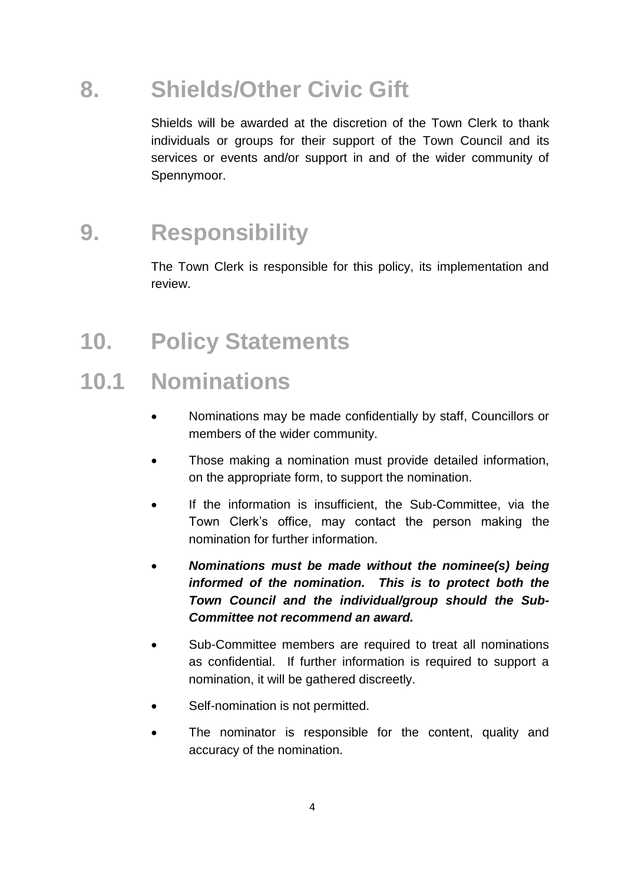### **8. Shields/Other Civic Gift**

Shields will be awarded at the discretion of the Town Clerk to thank individuals or groups for their support of the Town Council and its services or events and/or support in and of the wider community of Spennymoor.

#### **9. Responsibility**

The Town Clerk is responsible for this policy, its implementation and review.

## **10. Policy Statements**

#### **10.1 Nominations**

- Nominations may be made confidentially by staff, Councillors or members of the wider community.
- Those making a nomination must provide detailed information, on the appropriate form, to support the nomination.
- If the information is insufficient, the Sub-Committee, via the Town Clerk's office, may contact the person making the nomination for further information.
- *Nominations must be made without the nominee(s) being informed of the nomination. This is to protect both the Town Council and the individual/group should the Sub-Committee not recommend an award.*
- Sub-Committee members are required to treat all nominations as confidential. If further information is required to support a nomination, it will be gathered discreetly.
- Self-nomination is not permitted.
- The nominator is responsible for the content, quality and accuracy of the nomination.